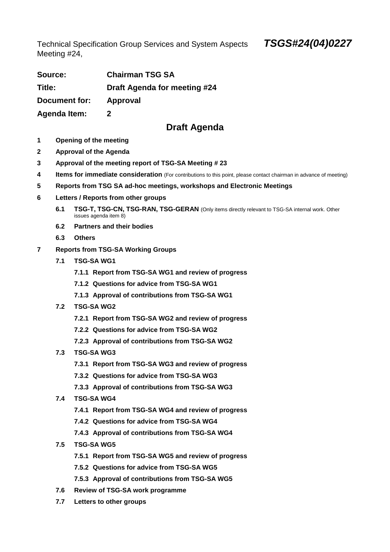Technical Specification Group Services and System Aspects **TSGS#24(04)0227**  Meeting #24,

| Source:             | <b>Chairman TSG SA</b>       |
|---------------------|------------------------------|
| Title:              | Draft Agenda for meeting #24 |
| Document for:       | Approval                     |
| <b>Agenda Item:</b> | 2                            |

## **Draft Agenda**

- **1 Opening of the meeting**
- **2 Approval of the Agenda**
- **3 Approval of the meeting report of TSG-SA Meeting # 23**
- **4 Items for immediate consideration** (For contributions to this point, please contact chairman in advance of meeting)
- **5 Reports from TSG SA ad-hoc meetings, workshops and Electronic Meetings**
- **6 Letters / Reports from other groups** 
	- **6.1 TSG-T, TSG-CN, TSG-RAN, TSG-GERAN** (Only items directly relevant to TSG-SA internal work. Other issues agenda item 8)
	- **6.2 Partners and their bodies**
	- **6.3 Others**
- **7 Reports from TSG-SA Working Groups** 
	- **7.1 TSG-SA WG1** 
		- **7.1.1 Report from TSG-SA WG1 and review of progress**
		- **7.1.2 Questions for advice from TSG-SA WG1**
		- **7.1.3 Approval of contributions from TSG-SA WG1**
	- **7.2 TSG-SA WG2** 
		- **7.2.1 Report from TSG-SA WG2 and review of progress**
		- **7.2.2 Questions for advice from TSG-SA WG2**
		- **7.2.3 Approval of contributions from TSG-SA WG2**
	- **7.3 TSG-SA WG3** 
		- **7.3.1 Report from TSG-SA WG3 and review of progress**
		- **7.3.2 Questions for advice from TSG-SA WG3**
		- **7.3.3 Approval of contributions from TSG-SA WG3**
	- **7.4 TSG-SA WG4** 
		- **7.4.1 Report from TSG-SA WG4 and review of progress**
		- **7.4.2 Questions for advice from TSG-SA WG4**
		- **7.4.3 Approval of contributions from TSG-SA WG4**
	- **7.5 TSG-SA WG5** 
		- **7.5.1 Report from TSG-SA WG5 and review of progress**
		- **7.5.2 Questions for advice from TSG-SA WG5**
		- **7.5.3 Approval of contributions from TSG-SA WG5**
	- **7.6 Review of TSG-SA work programme**
	- **7.7 Letters to other groups**